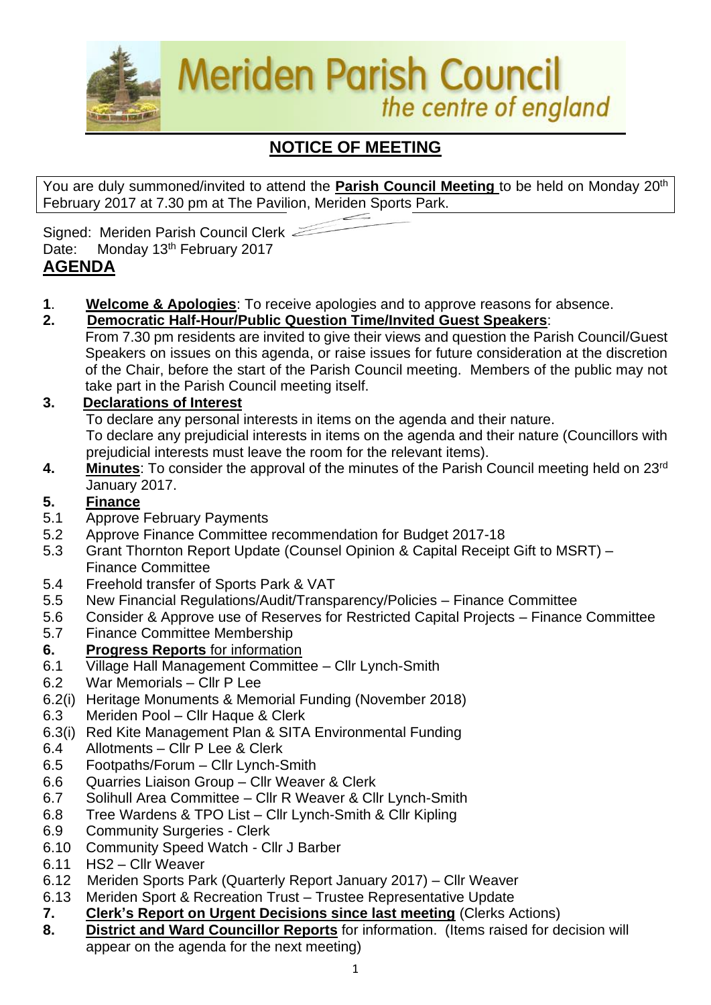

# **NOTICE OF MEETING**

You are duly summoned/invited to attend the **Parish Council Meeting** to be held on Monday 20th February 2017 at 7.30 pm at The Pavilion, Meriden Sports Park.

Signed: Meriden Parish Council Clerk Date: Monday 13<sup>th</sup> February 2017

# **AGENDA**

- **1**. **Welcome & Apologies**: To receive apologies and to approve reasons for absence.
- **2. Democratic Half-Hour/Public Question Time/Invited Guest Speakers**:
	- From 7.30 pm residents are invited to give their views and question the Parish Council/Guest Speakers on issues on this agenda, or raise issues for future consideration at the discretion of the Chair, before the start of the Parish Council meeting. Members of the public may not take part in the Parish Council meeting itself.

## **3. Declarations of Interest**

To declare any personal interests in items on the agenda and their nature.

To declare any prejudicial interests in items on the agenda and their nature (Councillors with prejudicial interests must leave the room for the relevant items).

**4. Minutes**: To consider the approval of the minutes of the Parish Council meeting held on 23rd January 2017.

## **5. Finance**

- 5.1 Approve February Payments
- 5.2 Approve Finance Committee recommendation for Budget 2017-18
- 5.3 Grant Thornton Report Update (Counsel Opinion & Capital Receipt Gift to MSRT) Finance Committee
- 5.4 Freehold transfer of Sports Park & VAT
- 5.5 New Financial Regulations/Audit/Transparency/Policies Finance Committee
- 5.6 Consider & Approve use of Reserves for Restricted Capital Projects Finance Committee
- 5.7 Finance Committee Membership
- **6. Progress Reports** for information
- 6.1 Village Hall Management Committee Cllr Lynch-Smith
- 6.2 War Memorials Cllr P Lee
- 6.2(i) Heritage Monuments & Memorial Funding (November 2018)
- 6.3 Meriden Pool Cllr Haque & Clerk
- 6.3(i) Red Kite Management Plan & SITA Environmental Funding
- 6.4 Allotments Cllr P Lee & Clerk
- 6.5 Footpaths/Forum Cllr Lynch-Smith
- 6.6 Quarries Liaison Group Cllr Weaver & Clerk
- 6.7 Solihull Area Committee Cllr R Weaver & Cllr Lynch-Smith
- 6.8 Tree Wardens & TPO List Cllr Lynch-Smith & Cllr Kipling
- 6.9 Community Surgeries Clerk
- 6.10 Community Speed Watch Cllr J Barber
- 6.11 HS2 Cllr Weaver
- 6.12Meriden Sports Park (Quarterly Report January 2017) Cllr Weaver
- 6.13 Meriden Sport & Recreation Trust Trustee Representative Update
- **7. Clerk's Report on Urgent Decisions since last meeting** (Clerks Actions)
- **8. District and Ward Councillor Reports** for information. (Items raised for decision will appear on the agenda for the next meeting)